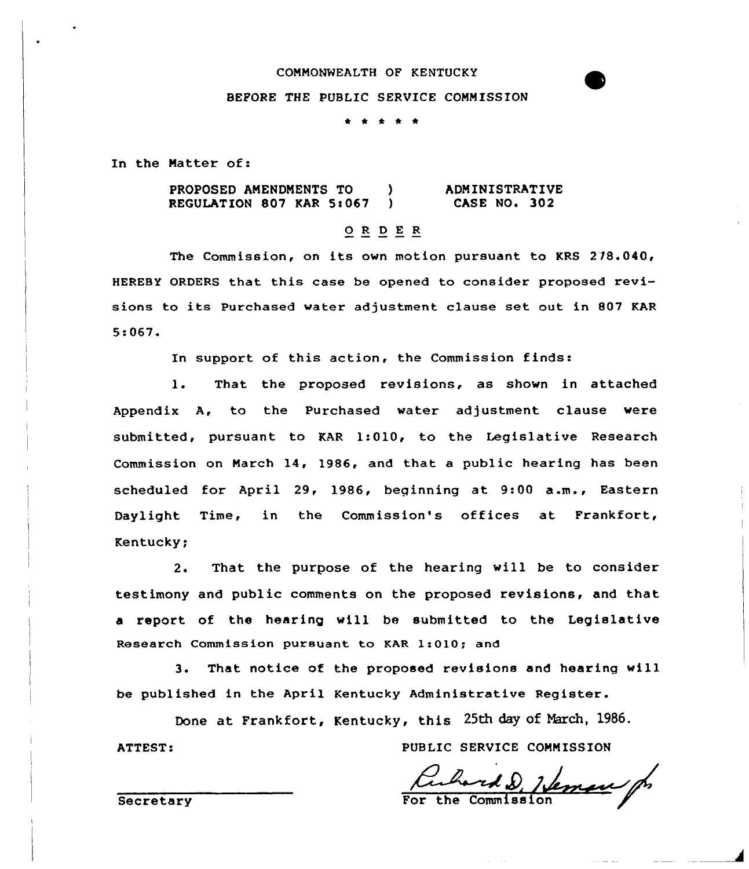#### COMMONWEALTH OF KENTUCKY

#### BEFORE THE PUBLIC SERVICE COMMISSION

\* \* \* \* \*

In the Natter of:

PROPOSED ANENDNENTS TO ) REGULATION 807 KAR  $5:067$  ) ADMINISTRATIVE CASE NO. 302

## 0 <sup>R</sup> <sup>D</sup> <sup>E</sup> <sup>R</sup>

The Commission, on its own motion pursuant to KRS 218.040, HEREBY ORDERS that this case be opened to consider proposed revisions to its Purchased water adjustment clause set out in 807 KAR S!067.

In support of this action, the Commission finds:

1. That the proposed revisions, as shown in attached Appendix A, to the Purchased water adjustment clause were submitted, pursuant to KAR 1:010, to the Legislative Research Commission on March 14, 1986, and that a public hearing has been scheduled for April 29, 1986, beginning at 9:00 a.m., Eastern Daylight Time, in the Commission's offices at Frankfort, Kentucky;

2. That the purpose of the hearing will be to consider testimony and public comments on the proposed revisions, and that a report of the hearing will be submitted to the Legislative Research Commission pursuant to KAR 1:010; and

3. That notice of the proposed revisions and hearing will be published in the April Kentucky Administrative Register.

Done at Frankfort, Kentucky, this 25th day of March, 1986.

PUBLIC SERVICE COMMISSION

this 25th day of March, 1986.<br>PUBLIC SERVICE COMMISSION<br>For the Commission

**Secretary** 

ATTEST: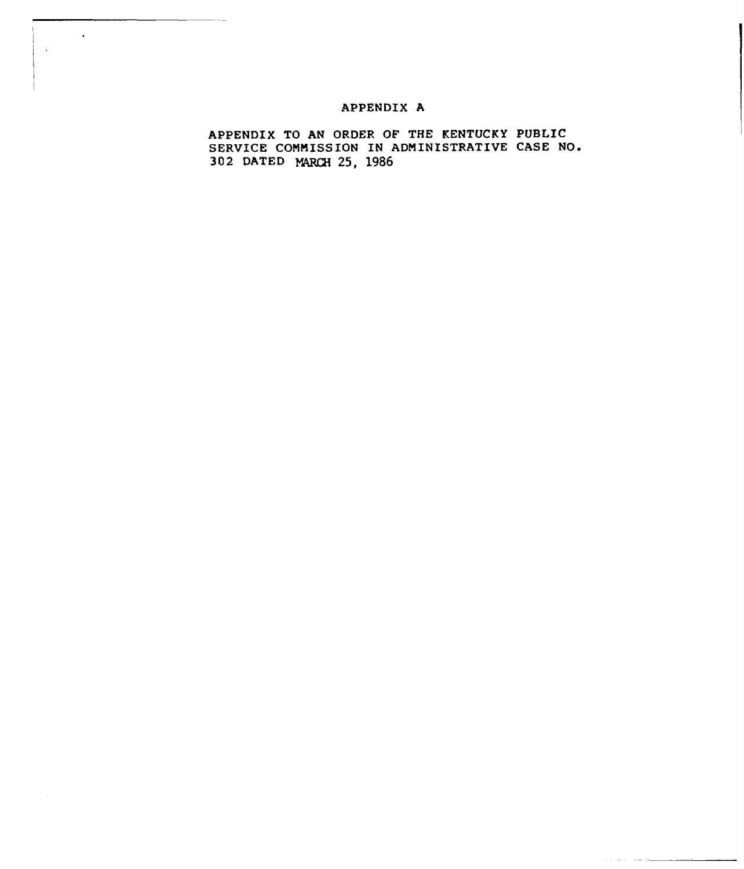## APPENDIX A

 $\ddot{\phantom{a}}$ 

APPENDIX TO AN ORDER OF THE KENTUCKY PUBLIC SERVICE COMMISSION IN ADMINISTRATIVE CASE NO. 302 DATED 25, 1986)<br>MMISS<br>MARCH

لمستقلب المتقدمات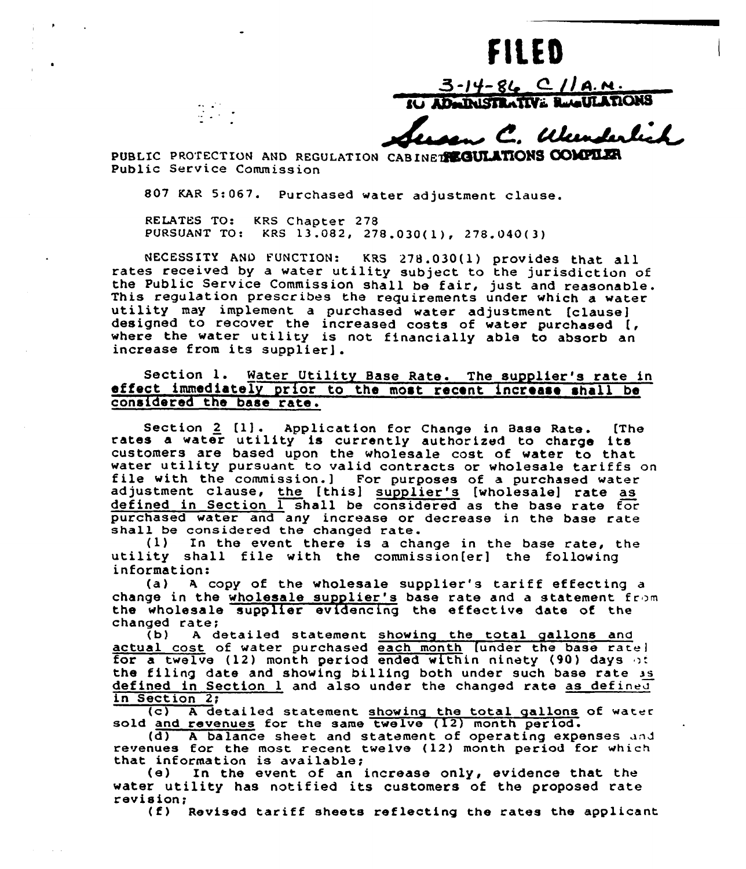# FILED

 $3 - 14 - 86$  C//A.N. **IU ADMINISTRATIVE REGULATIONS** 

, C. Wanderlich

PUBLIC PROTECTION AND REGULATION CABINET REGULATIONS COMPLER Public Service Commission

807 KAR 5:067. Purchased water adjustment clause.

RELATES TO: KRS Chapter 278 PURSUANT TO) KRS 13.082, 278.030(1), 278.040(3)

NECESSITY AND FUNCTION: KRS 278.030(1) provides that all rates received by <sup>a</sup> water utility subject to the jurisdiction of the Public Service Commission shall be fair, just and reasonable.<br>This regulation prescribes the requirements under which a water<br>utility may implement a purchased water adjustment [clause] designed to recover the increased water aujustment (clause)<br>designed to recover the increased costs of water purchased  $\left\{ \right.$ where the water utility is not financially able to absorb are increase from its supplier].

# Section 1. Water Utility Base Rate. The supplier's rate in effect immediately prior to the most recent increase shall be considered the base rate.

Section 2 [1]. Application for Change in Base Rate. [The rates a water utility is currently authorized to charge its customers are based upon the wholesale cost of water to that water utility pursuant to valid contracts or wholesale tariffs on file with the commission.] For purposes of a purchased water adjustment clause, the [this] supplier's [wholesale] rate as defined in Section 1 shall be considered as the base rate for purchased water and any increase or decrease in the base rate<br>shall be considered the changed rate.<br>(1) In the event there is a change in the base rate, the

utility shall file with the commission[er] the following information:

(a) <sup>A</sup> copy of the wholesale supplier's tariff effecting <sup>a</sup> change in the wholesale supplier's base rate and a statement from the wholesale supplier evidencing the effective date of the changed rate;<br>(b) A detailed statement showing the total gallons and

actual cost of water purchased each month [under the base ratei for a twelve (12) month period ended within ninety (90) days of the filing date and showing billing both under such base rate is defined in Section 1 and also under the changed rate as defined in Section 2;

 $(c)$  A detailed statement showing the total gallons of water sold and revenues for the same twelve (12) month period.

(d) A balance sheet and statement of operating expense revenues for the most recent twelve (12) month period for which that information is available; (e) In the event of an increase only, evidence that the

water utility has notified its customers of the proposed rate revision:

 $f(t)$  Revised tariff sheets reflecting the rates the applicant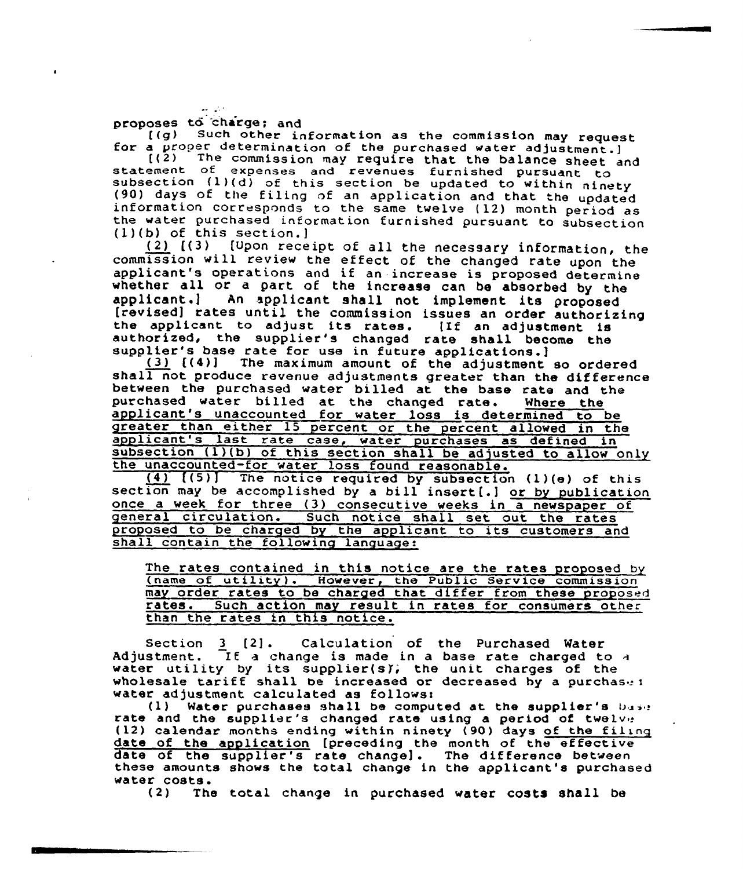$\mathcal{L}^{\text{max}}$ 

proposes to charge; and<br>
((g) Such other information as the commission may request<br>
for a proper determination of the purchased water adjustment.]<br>
((2) The commission may require that the balance sheet and<br>
statement of

commission will review the effect of the changed rate upon the<br>applicant's operations and if an increase is proposed determine<br>whether all or a part of the increase can be absorbed by the<br>applicant.] An applicant shall not

between the purchased water billed at the base rate and the<br>purchased water billed at the changed rate. Where the applicant's unaccounted for water loss is determined to be greater than either 15 percent or the percent allowed in the<br>applicant's last rate case, water purchases as defined in<br>subsection (1)(b) of this section shall be adjusted to allow only<br>the unaccounted-for water loss found

once a week for three (3) consecutive weeks in a newspaper of general circulation. Such notice shall set out the rates proposed to be charged by the applicant to its customers and shall contain the following language:

The rates contained in this notice are the rates proposed by (name of utility ). However, the Public Service commission may order rates to be charged that differ from these proposed rates. Such action may result in rates for consumers other than the rates in this notice.

Section <sup>3</sup> [2]. Calculation of the Purchased Water Adjustment. If a change is made in a base rate charged to a water utility by its supplier(sf; the unit charges of the wholesale tariff shall be increased or decreased by a purchase:<br>water adjustment calculated as follows:

(1) Water purchases shall be computed at the supplier's base rate and the supplier's changed rate using a period of twelve (12) calendar months ending within ninety (90) days of the filing date of the application [preceding the month of the effective date of the supplier's rate change]. The difference between these amounts shows the total change in the applicant's purchased water costs.<br>(2) The

The total change in purchased water costs shall be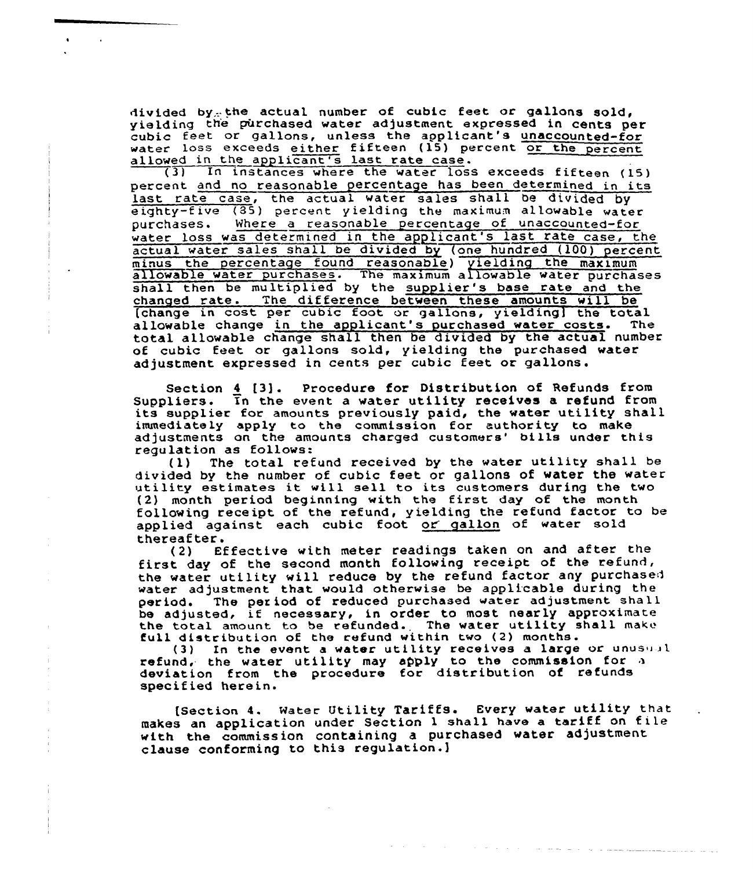divided by-the actual number of cubic feet or gallons sold, yielding the purchased water adjustment expressed in cents per<br>cubic feet or gallons, unless the applicant's unaccounted-for water loss exceeds either fifteen (15) percent or the percent

allowed in the applicant's last rate case.<br>(3) In instances where the water loss In instances where the water loss exceeds fifteen (15) percent and no reasonable percentage has been determined in its last rate case, the actual water sales shall be divided by eighty-five (85) percent yielding the maximum allowable water purchases. Where a reasonable percentage of unaccounted-for Where a reasonable percentage of unaccounted-for water loss was determined in the applicant's last rate case, the actual water sales shall be divided by (one hundred (100) percent minus the percentage found reasonable) yielding the maximu allowable water purchases. The maximum allowable water purchase shall then be multiplied by the supplier's base rate and the changed rate. The difference between these amounts will be changes in cost per cubic foot or gallons, yielding] the total allowable change in the applicant's purchased water costs. The total allowable change shall then be divided by the actual number of cubic feet or gallons sold, yielding the purchased water adjustment expressed in cents per cubic feet or gallons.

Section  $\underline{4}$  [3]. Procedure for Distribution of Refunds from Suppliers. Tn the event a water utility receives a refund from<br>its supplier for amounts previously paid, the water utility shall immediately apply to the commission for authority to make adjustments on the amounts charged customers' bills under this requlation as follows:

 $r(1)$  The total refund received by the water utility shall be divided by the number of cubic feet or gallons of water the water utility estimates it wi11 sell to its customers during the two (2) month period beginning with the first day of the month following receipt of the refund, yielding the refund factor to be applied against each cubic foot or gallon of water sold thereafter.<br>(2) Ef

Effective with meter readings taken on and after the first day of the second month following receipt of the refund, the water utility will reduce by the refund factor any purchased water adjustment that would otherwise be applicable during the<br>period. The period of reduced purchased water adjustment shall The period of reduced purchased water adjustment shall be adjusted, if necessary, in order to most nearly approximate the total amount to be refunded. The water utility shall make full distribution of the refund within two (2) months.

(3) In the event a water utility receives a large or unusual refund, the water utility may apply to the commission for deviation from the procedure for distribution of refund specified herein.

[Section 4. Mater Utility Tariffs. Every water utility that makes an application under Section <sup>1</sup> shall have <sup>a</sup> tariff on tile with the commission containing a purchased water adjustment clause conforming to this regulation.]

the company of the company and the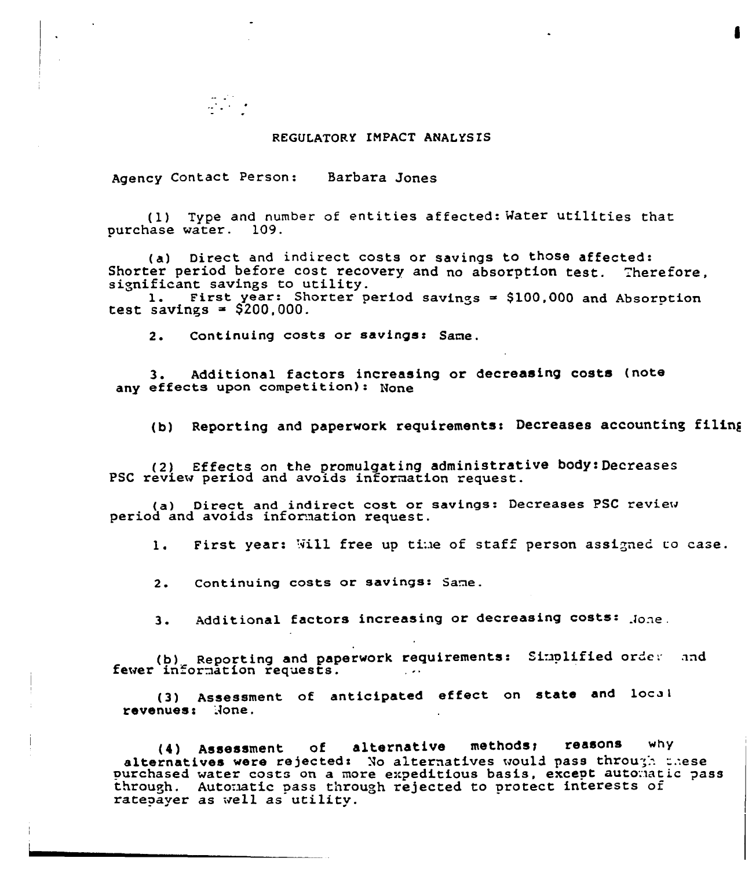#### REGULATORY IMPACT ANALYS ES

Agency Contact Person: Barbara Jones

(1) Type and number of entities affected: Water utilities that purchase water. 109.

(a) Direct and indirect costs or savings to those affected:<br>Shorter period before cost recovery and no absorption test. Therefore,

Significant savings to utility.<br>1. First year: Shorter period savings = \$100,000 and Absorption<br>test savings = \$200,000.

2. Continuing costs or savings: Same.

3. Additional factors increasing or decreasing costs (note any effects upon competition): None

(b) Reporting and paperwork requirements: Decreases accounting filing

(2) Effects on the promulgating administrative body: Decreases PSC review period and avoids information request.

(a) Direct and indirect cost or savings: Decreases PSC review period and avoids information request.

1. First year: Will free up time of staff person assigned to case.

2. Continuing costs or savings: Same.

3. Additional factors increasing or decreasing costs: Jone.

(b) Reporting and paperwork requirements: Simplified order and<br>fewer information requests.

(3) Assessment of anticipated effect on state and local revenues: None.

(4) Assessment of alternative methods; reasons why<br>alternatives were rejected: No alternatives would pass through phese purchased water costs on a more expeditious basis, except automatic pass through. Automatic pass through rejected to protect interests of ratepayer as well as utility.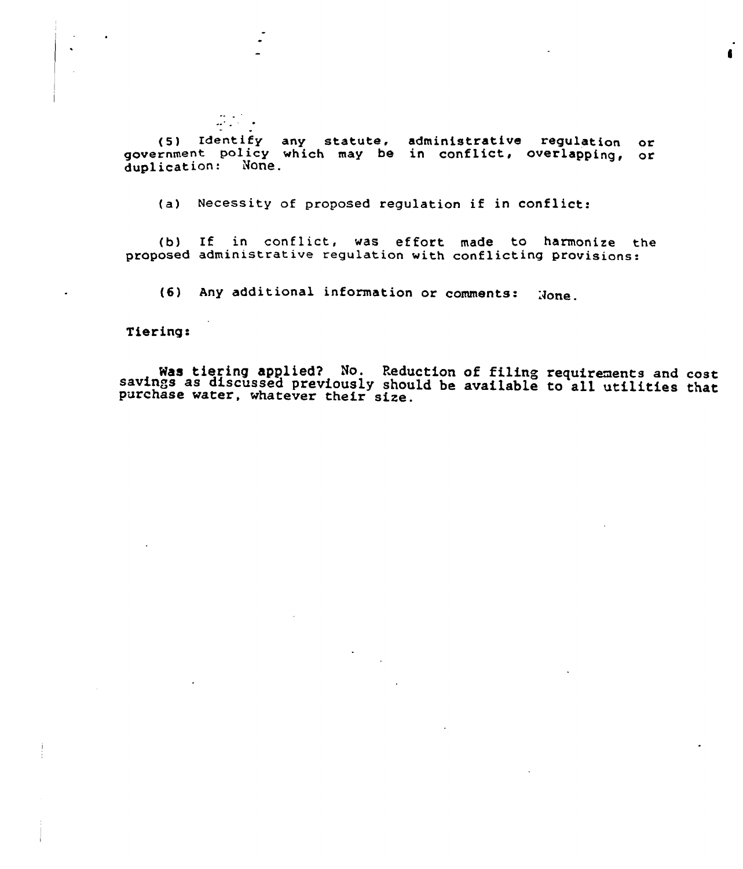{5) Identify any statute, administrative regulation government policy which may be in conflict, overlapping, or duplication: None. OL

(a) Necessity of proposed regulation if in conflict:

(b) If in conflict, was effort made to harmonize the proposed administrative regulation with conflicting provisions:

(6) Any additional information or comments: None.

Tiering:

Was tiering applied? No. Reduction of filing requirements and cost savings as discussed previously should be available to all utilities that purchase water, whatever their size.